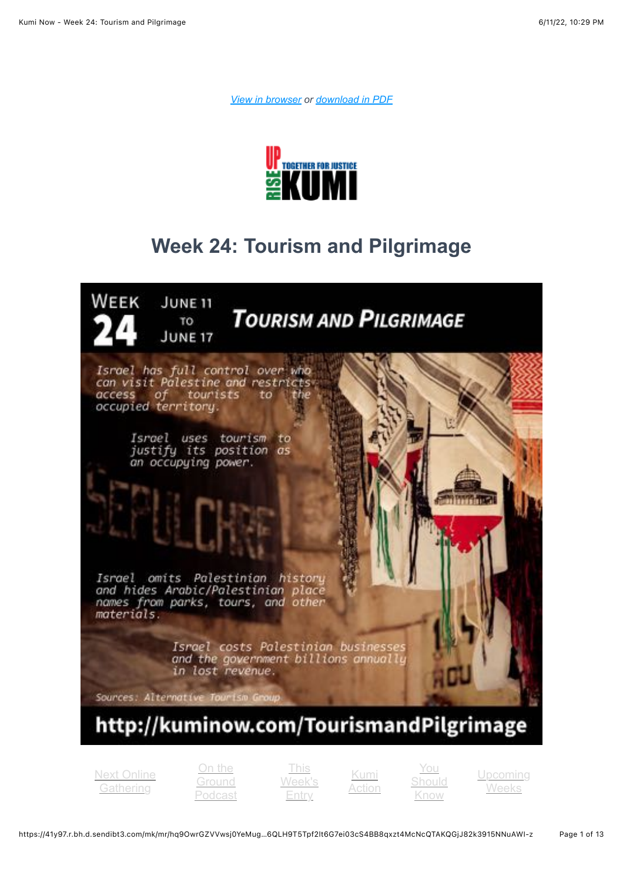*[View in browser](https://41y97.r.bh.d.sendibt3.com/mk/mr/hq9OwrGZVVwsj0YeMugidRI9yzRqsqYBAPWSYqIXpFs7mLIgi_IMy9UyJeQYcGGK5gO03OQQKWeugA6QLH9T5Tpf2lt6G7ei03cS4BB8qxzt4McNcQTAKQGjJ82k3915NNuAWI-z) or [download in PDF](http://kuminow.com/wp-content/uploads/2022/06/Week-24.pdf)*



## **Week 24: Tourism and Pilgrimage**



[Next Online](#page-1-0) **Gathering** 

On the **Ground** [Podcast](#page-2-0)

This [Week's](#page-3-0) Entry

Kumi [Action](#page-5-0)

You [Should](#page-8-0) Know

[Upcoming](#page-10-0) Weeks

https://41y97.r.bh.d.sendibt3.com/mk/mr/hq9OwrGZVVwsj0YeMug…6QLH9T5Tpf2lt6G7ei03cS4BB8qxzt4McNcQTAKQGjJ82k3915NNuAWI-z Page 1 of 13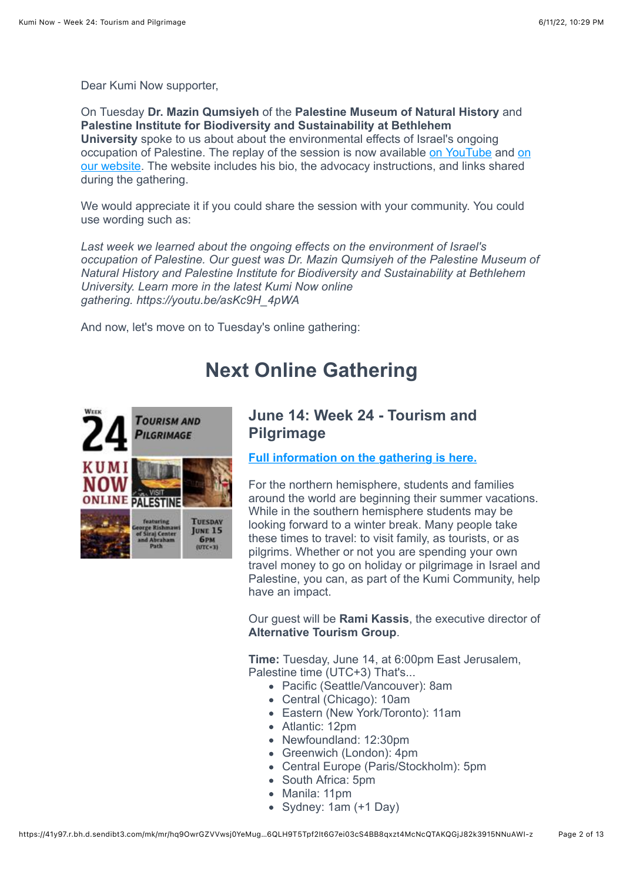Dear Kumi Now supporter,

On Tuesday **Dr. Mazin Qumsiyeh** of the **Palestine Museum of Natural History** and **Palestine Institute for Biodiversity and Sustainability at Bethlehem University** spoke to us about about the environmental effects of Israel's ongoing [occupation of Palestine. The replay of the session is now available](https://kuminow.com/week-23-environmental-effects-of-occupation-online-gathering-2022/) [on YouTube](https://youtu.be/asKc9H_4pWA) [and on](https://kuminow.com/week-23-environmental-effects-of-occupation-online-gathering-2022/) our website. The website includes his bio, the advocacy instructions, and links shared during the gathering.

We would appreciate it if you could share the session with your community. You could use wording such as:

*Last week we learned about the ongoing effects on the environment of Israel's occupation of Palestine. Our guest was Dr. Mazin Qumsiyeh of the Palestine Museum of Natural History and Palestine Institute for Biodiversity and Sustainability at Bethlehem University. Learn more in the latest Kumi Now online gathering. https://youtu.be/asKc9H\_4pWA*

<span id="page-1-0"></span>And now, let's move on to Tuesday's online gathering:

## **Next Online Gathering**



#### **June 14: Week 24 - Tourism and Pilgrimage**

**[Full information on the gathering is here.](https://kuminow.com/week-24-tourism-and-pilgrimage-online-gathering-2022/)**

For the northern hemisphere, students and families around the world are beginning their summer vacations. While in the southern hemisphere students may be looking forward to a winter break. Many people take these times to travel: to visit family, as tourists, or as pilgrims. Whether or not you are spending your own travel money to go on holiday or pilgrimage in Israel and Palestine, you can, as part of the Kumi Community, help have an impact.

Our guest will be **Rami Kassis**, the executive director of **Alternative Tourism Group**.

**Time:** Tuesday, June 14, at 6:00pm East Jerusalem, Palestine time (UTC+3) That's...

- Pacific (Seattle/Vancouver): 8am
- Central (Chicago): 10am
- Eastern (New York/Toronto): 11am
- Atlantic: 12pm
- Newfoundland: 12:30pm
- Greenwich (London): 4pm
- Central Europe (Paris/Stockholm): 5pm
- South Africa: 5pm
- Manila: 11pm
- Sydney: 1am (+1 Day)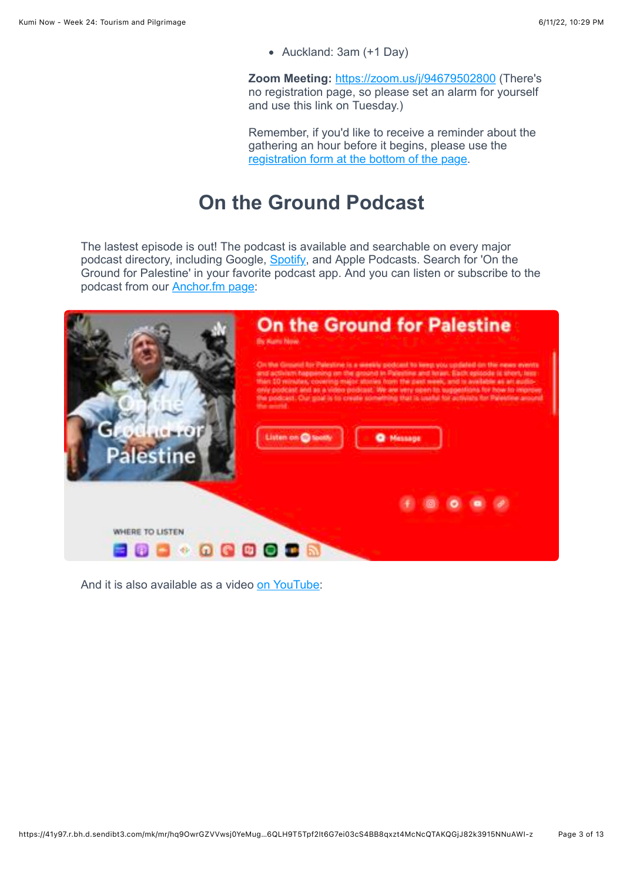Auckland: 3am (+1 Day)

**Zoom Meeting:** <https://zoom.us/j/94679502800>(There's no registration page, so please set an alarm for yourself and use this link on Tuesday.)

Remember, if you'd like to receive a reminder about the gathering an hour before it begins, please use the [registration form at the bottom of the page](http://kuminow.com/online/).

## **On the Ground Podcast**

<span id="page-2-0"></span>The lastest episode is out! The podcast is available and searchable on every major podcast directory, including Google, [Spotify](https://open.spotify.com/show/2cXfaL6ik8M0pw6rxIg8u0), and Apple Podcasts. Search for 'On the Ground for Palestine' in your favorite podcast app. And you can listen or subscribe to the podcast from our [Anchor.fm page](https://anchor.fm/kumi-now):



And it is also available as a video [on YouTube](https://youtu.be/DRkmrQiUp-I):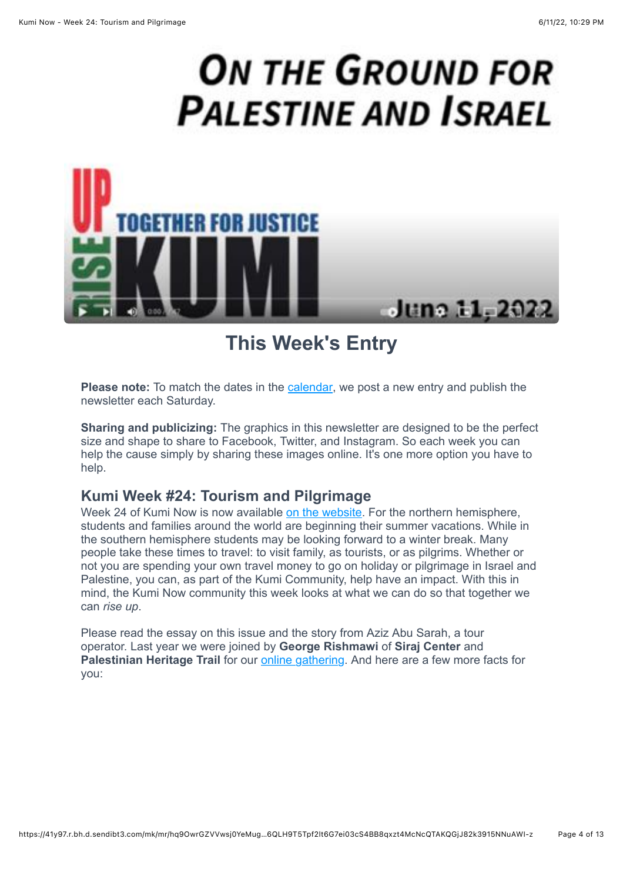# **ON THE GROUND FOR PALESTINE AND ISRAEL**



**This Week's Entry**

<span id="page-3-0"></span>**Please note:** To match the dates in the [calendar,](https://kuminow.com/calendar/) we post a new entry and publish the newsletter each Saturday.

**Sharing and publicizing:** The graphics in this newsletter are designed to be the perfect size and shape to share to Facebook, Twitter, and Instagram. So each week you can help the cause simply by sharing these images online. It's one more option you have to help.

#### **Kumi Week #24: Tourism and Pilgrimage**

Week 24 of Kumi Now is now available [on the website.](https://kuminow.com/tourismandpilgrimage/) For the northern hemisphere, students and families around the world are beginning their summer vacations. While in the southern hemisphere students may be looking forward to a winter break. Many people take these times to travel: to visit family, as tourists, or as pilgrims. Whether or not you are spending your own travel money to go on holiday or pilgrimage in Israel and Palestine, you can, as part of the Kumi Community, help have an impact. With this in mind, the Kumi Now community this week looks at what we can do so that together we can *rise up*.

Please read the essay on this issue and the story from Aziz Abu Sarah, a tour operator. Last year we were joined by **George Rishmawi** of **Siraj Center** and Palestinian Heritage Trail for our **online gathering**. And here are a few more facts for you: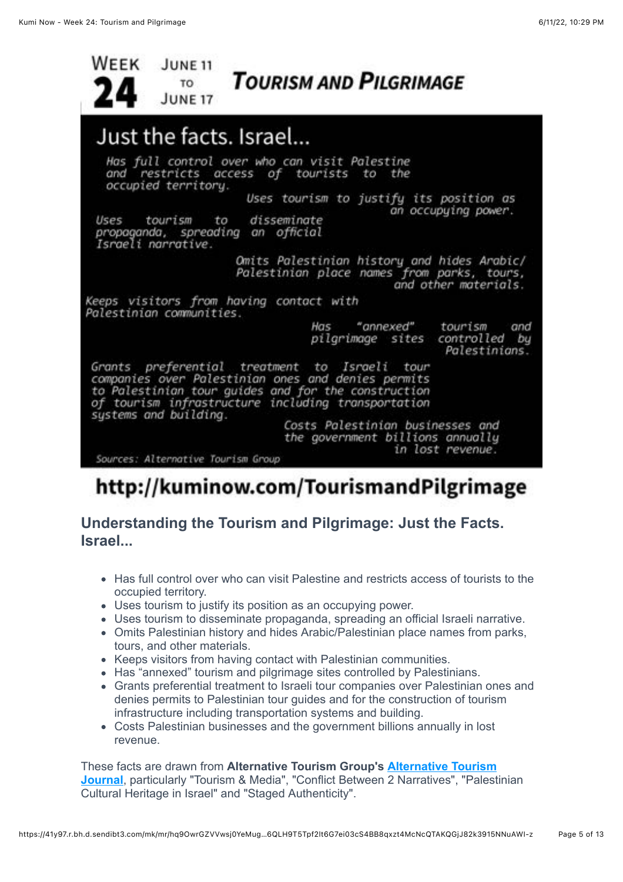

## http://kuminow.com/TourismandPilgrimage

### **Understanding the Tourism and Pilgrimage: Just the Facts. Israel...**

- Has full control over who can visit Palestine and restricts access of tourists to the occupied territory.
- Uses tourism to justify its position as an occupying power.
- Uses tourism to disseminate propaganda, spreading an official Israeli narrative.
- Omits Palestinian history and hides Arabic/Palestinian place names from parks, tours, and other materials.
- Keeps visitors from having contact with Palestinian communities.
- Has "annexed" tourism and pilgrimage sites controlled by Palestinians.
- Grants preferential treatment to Israeli tour companies over Palestinian ones and denies permits to Palestinian tour guides and for the construction of tourism infrastructure including transportation systems and building.
- Costs Palestinian businesses and the government billions annually in lost revenue.

These facts are drawn from **Alternative Tourism Group's Alternative Tourism Journal**[, particularly "Tourism & Media", "Conflict Between 2 Narratives", "Palest](http://atg.ps/study-center/alternative-tourism-journal)inian Cultural Heritage in Israel" and "Staged Authenticity".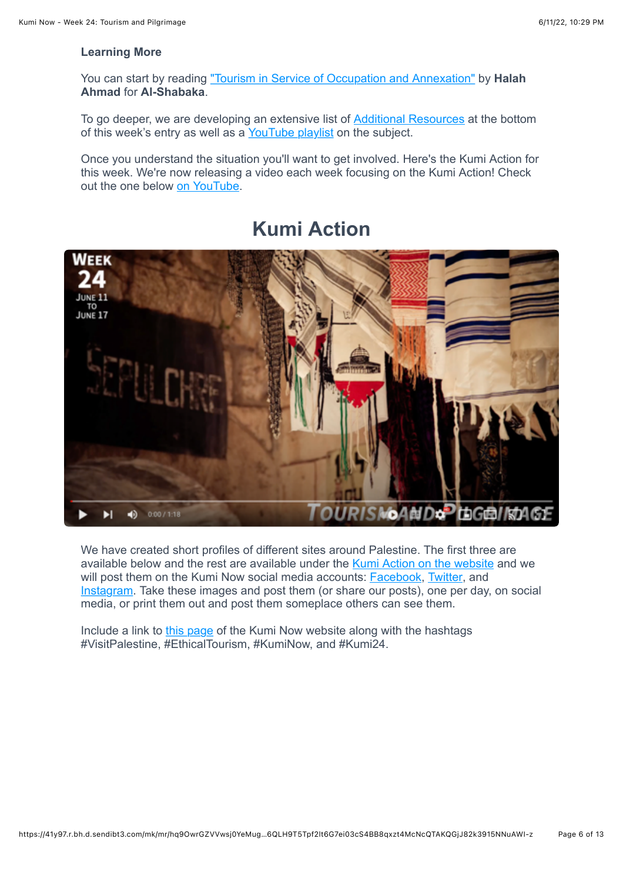#### **Learning More**

You can start by reading ["Tourism in Service of Occupation and Annexation"](https://al-shabaka.org/briefs/tourism-in-service-of-occupation-and-annexation/) by **Halah Ahmad** for **Al-Shabaka**.

To go deeper, we are developing an extensive list of **Additional Resources** at the bottom of this week's entry as well as a [YouTube playlist](https://youtube.com/playlist?list=PLu2nUnkJwDwn98fUogwrOUTSfHq4z4FBT) on the subject.

Once you understand the situation you'll want to get involved. Here's the Kumi Action for this week. We're now releasing a video each week focusing on the Kumi Action! Check out the one below [on YouTube.](https://youtu.be/wgSXt4VLGBM)

# <span id="page-5-0"></span>WEEK JUNE 17 OURISMOAND® LOGBIRDAGE 40  $0.00 / 1:18$ Ы

**Kumi Action**

We have created short profiles of different sites around Palestine. The first three are available below and the rest are available under the [Kumi Action on the website](https://kuminow.com/tourismandpilgrimage/#kumiaction) and we will post them on the Kumi Now social media accounts: **Facebook**, [Twitter,](http://www.twitter.com/kumi_now) and [Instagram](http://www.instagram.com/kumi_now). Take these images and post them (or share our posts), one per day, on social media, or print them out and post them someplace others can see them.

Include a link to [this page](https://kuminow.com/tourismandpilgrimage/) of the Kumi Now website along with the hashtags #VisitPalestine, #EthicalTourism, #KumiNow, and #Kumi24.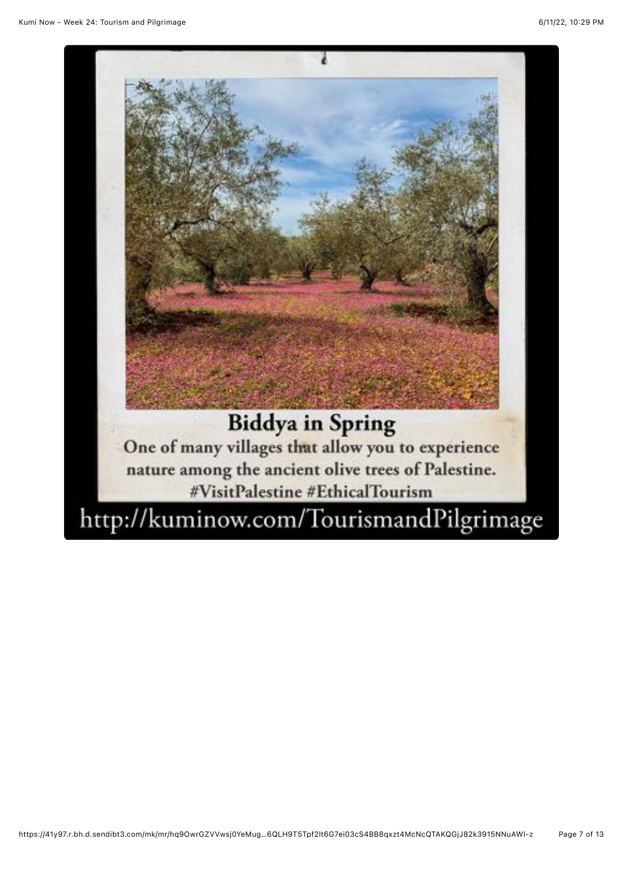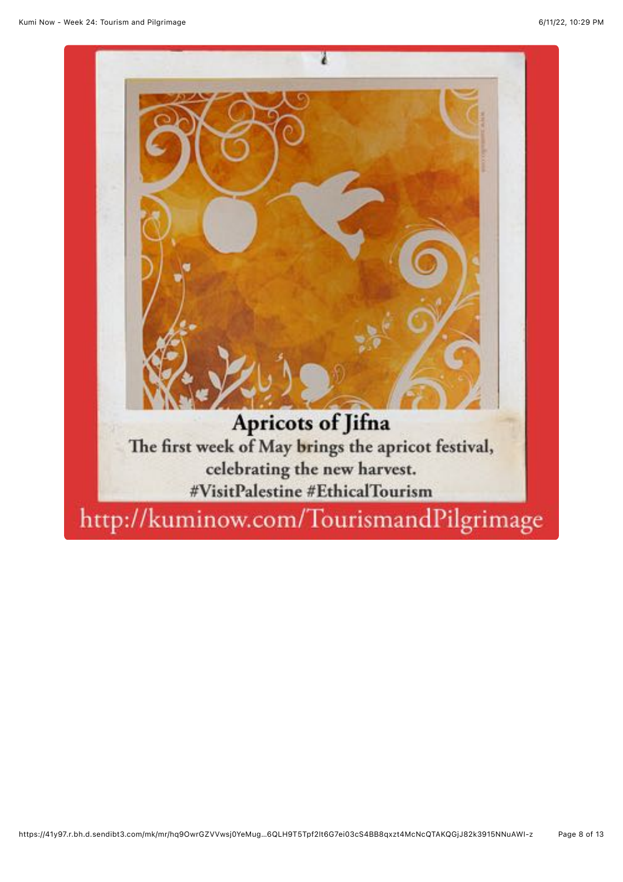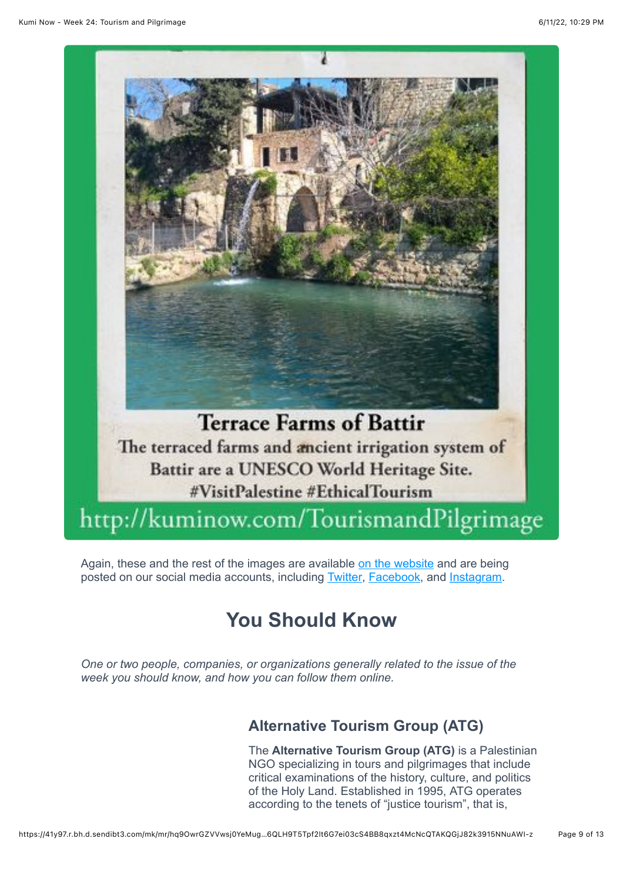

<span id="page-8-0"></span>Again, these and the rest of the images are available [on the website](https://kuminow.com/tourismandpilgrimage/#kumiaction) and are being posted on our social media accounts, including **Twitter**, **Facebook**, and **Instagram**.

## **You Should Know**

*One or two people, companies, or organizations generally related to the issue of the week you should know, and how you can follow them online.*

## **Alternative Tourism Group (ATG)**

The **Alternative Tourism Group (ATG)** is a Palestinian NGO specializing in tours and pilgrimages that include critical examinations of the history, culture, and politics of the Holy Land. Established in 1995, ATG operates according to the tenets of "justice tourism", that is,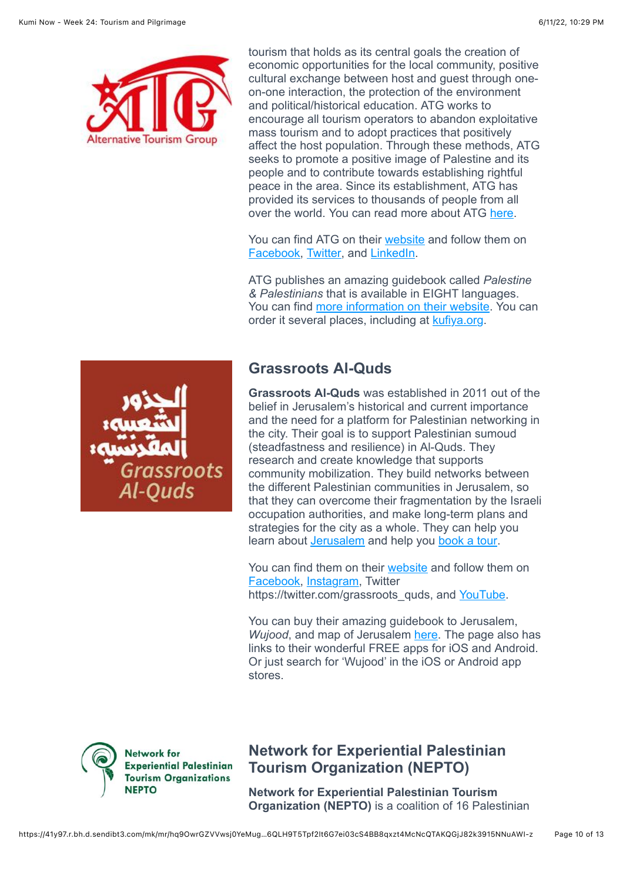

tourism that holds as its central goals the creation of economic opportunities for the local community, positive cultural exchange between host and guest through oneon-one interaction, the protection of the environment and political/historical education. ATG works to encourage all tourism operators to abandon exploitative mass tourism and to adopt practices that positively affect the host population. Through these methods, ATG seeks to promote a positive image of Palestine and its people and to contribute towards establishing rightful peace in the area. Since its establishment, ATG has provided its services to thousands of people from all over the world. You can read more about ATG [here](http://atg.ps/about-us).

You can find ATG on their [website](http://atg.ps/) and follow them on [Facebook,](https://www.facebook.com/atgpalestine) [Twitter,](https://twitter.com/SeePalestine) and [LinkedIn](http://www.linkedin.com/company/alternative-tourism-group).

ATG publishes an amazing guidebook called *Palestine & Palestinians* that is available in EIGHT languages. You can find [more information on their website.](http://atg.ps/guidebook) You can order it several places, including at [kufiya.org.](https://www.kufiya.org/atg)

roots Ouds

#### **Grassroots Al-Quds**

**Grassroots Al-Quds** was established in 2011 out of the belief in Jerusalem's historical and current importance and the need for a platform for Palestinian networking in the city. Their goal is to support Palestinian sumoud (steadfastness and resilience) in Al-Quds. They research and create knowledge that supports community mobilization. They build networks between the different Palestinian communities in Jerusalem, so that they can overcome their fragmentation by the Israeli occupation authorities, and make long-term plans and strategies for the city as a whole. They can help you learn about **[Jerusalem](https://www.grassrootsalquds.net/al-quds)** and help you [book a tour.](https://www.grassrootsalquds.net/tour)

You can find them on their [website](https://www.grassrootsalquds.net/) and follow them on [Facebook,](https://www.facebook.com/grassrootsalquds) [Instagram,](https://www.instagram.com/grassroots_alquds) Twitter https://twitter.com/grassroots\_quds, and [YouTube.](https://www.youtube.com/user/GrassrootsAlQuds/videos)

You can buy their amazing guidebook to Jerusalem, *Wujood*, and map of Jerusalem [here](https://www.grassrootsalquds.net/wujood). The page also has links to their wonderful FREE apps for iOS and Android. Or just search for 'Wujood' in the iOS or Android app stores.



#### **Network for Experiential Palestinian Tourism Organization (NEPTO)**

**Network for Experiential Palestinian Tourism Organization (NEPTO)** is a coalition of 16 Palestinian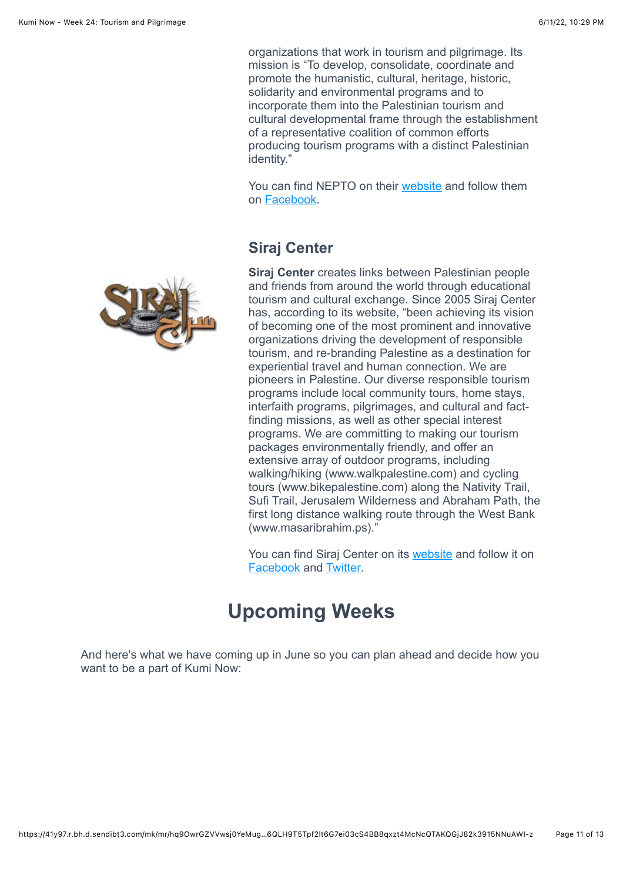organizations that work in tourism and pilgrimage. Its mission is "To develop, consolidate, coordinate and promote the humanistic, cultural, heritage, historic, solidarity and environmental programs and to incorporate them into the Palestinian tourism and cultural developmental frame through the establishment of a representative coalition of common efforts producing tourism programs with a distinct Palestinian identity."

You can find NEPTO on their [website](https://nepto.ps/) and follow them on [Facebook](https://www.facebook.com/networkEPTO/).

### **Siraj Center**

**Siraj Center** creates links between Palestinian people and friends from around the world through educational tourism and cultural exchange. Since 2005 Siraj Center has, according to its website, "been achieving its vision of becoming one of the most prominent and innovative organizations driving the development of responsible tourism, and re-branding Palestine as a destination for experiential travel and human connection. We are pioneers in Palestine. Our diverse responsible tourism programs include local community tours, home stays, interfaith programs, pilgrimages, and cultural and factfinding missions, as well as other special interest programs. We are committing to making our tourism packages environmentally friendly, and offer an extensive array of outdoor programs, including walking/hiking (www.walkpalestine.com) and cycling tours (www.bikepalestine.com) along the Nativity Trail, Sufi Trail, Jerusalem Wilderness and Abraham Path, the first long distance walking route through the West Bank (www.masaribrahim.ps)."

You can find Siraj Center on its [website](https://www.sirajcenter.org/index.php/en/) and follow it on [Facebook](https://www.facebook.com/SirajCenter) and [Twitter.](https://twitter.com/SirajCentre)

## **Upcoming Weeks**

<span id="page-10-0"></span>And here's what we have coming up in June so you can plan ahead and decide how you want to be a part of Kumi Now:

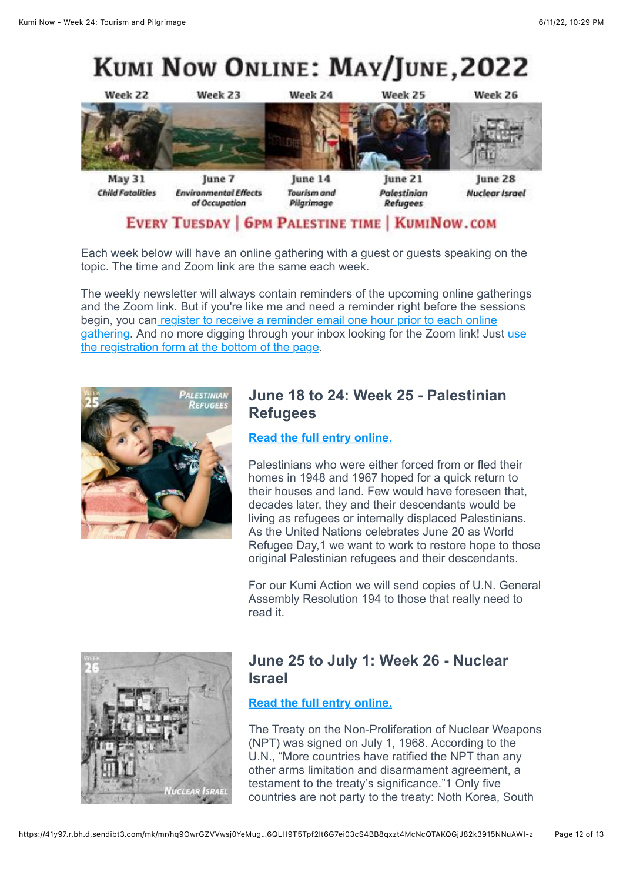# KUMI NOW ONLINE: MAY/JUNE, 2022



#### **EVERY TUESDAY | 6PM PALESTINE TIME | KUMINOW.COM**

Each week below will have an online gathering with a guest or guests speaking on the topic. The time and Zoom link are the same each week.

The weekly newsletter will always contain reminders of the upcoming online gatherings and the Zoom link. But if you're like me and need a reminder right before the sessions begin, you can register to receive a reminder email one hour prior to each online [gathering. And no more digging through your inbox looking for the Zoom link! Just use](https://kuminow.com/online/) the registration form at the bottom of the page.



#### **June 18 to 24: Week 25 - Palestinian Refugees**

#### **[Read the full entry online.](https://kuminow.com/palestinianrefugees/)**

Palestinians who were either forced from or fled their homes in 1948 and 1967 hoped for a quick return to their houses and land. Few would have foreseen that, decades later, they and their descendants would be living as refugees or internally displaced Palestinians. As the United Nations celebrates June 20 as World Refugee Day,1 we want to work to restore hope to those original Palestinian refugees and their descendants.

For our Kumi Action we will send copies of U.N. General Assembly Resolution 194 to those that really need to read it.



#### **June 25 to July 1: Week 26 - Nuclear Israel**

#### **[Read the full entry online.](https://kuminow.com/nuclearisrael/)**

The Treaty on the Non-Proliferation of Nuclear Weapons (NPT) was signed on July 1, 1968. According to the U.N., "More countries have ratified the NPT than any other arms limitation and disarmament agreement, a testament to the treaty's significance."1 Only five countries are not party to the treaty: Noth Korea, South